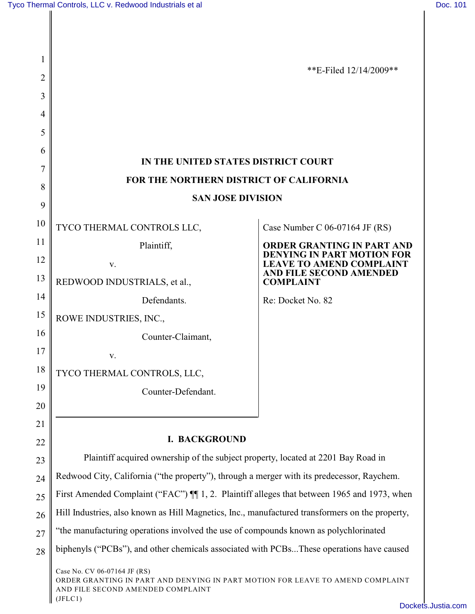| 1  |                                                                                                                                                                | **E-Filed 12/14/2009**                                                                                                        |  |
|----|----------------------------------------------------------------------------------------------------------------------------------------------------------------|-------------------------------------------------------------------------------------------------------------------------------|--|
| 2  |                                                                                                                                                                |                                                                                                                               |  |
| 3  |                                                                                                                                                                |                                                                                                                               |  |
| 4  |                                                                                                                                                                |                                                                                                                               |  |
| 5  |                                                                                                                                                                |                                                                                                                               |  |
| 6  | IN THE UNITED STATES DISTRICT COURT<br>FOR THE NORTHERN DISTRICT OF CALIFORNIA                                                                                 |                                                                                                                               |  |
| 7  |                                                                                                                                                                |                                                                                                                               |  |
| 8  | <b>SAN JOSE DIVISION</b>                                                                                                                                       |                                                                                                                               |  |
| 9  |                                                                                                                                                                |                                                                                                                               |  |
| 10 | TYCO THERMAL CONTROLS LLC,                                                                                                                                     | Case Number C 06-07164 JF (RS)                                                                                                |  |
| 11 | Plaintiff,                                                                                                                                                     | <b>ORDER GRANTING IN PART AND</b><br>DENYING IN PART MOTION FOR<br><b>LEAVE TO AMEND COMPLAINT</b><br>AND FILE SECOND AMENDED |  |
| 12 | V.                                                                                                                                                             |                                                                                                                               |  |
| 13 | REDWOOD INDUSTRIALS, et al.,                                                                                                                                   | <b>COMPLAINT</b>                                                                                                              |  |
| 14 | Defendants.                                                                                                                                                    | Re: Docket No. 82                                                                                                             |  |
| 15 | ROWE INDUSTRIES, INC.,                                                                                                                                         |                                                                                                                               |  |
| 16 | Counter-Claimant,                                                                                                                                              |                                                                                                                               |  |
| 17 | V.                                                                                                                                                             |                                                                                                                               |  |
| 18 | TYCO THERMAL CONTROLS, LLC,                                                                                                                                    |                                                                                                                               |  |
| 19 | Counter-Defendant.                                                                                                                                             |                                                                                                                               |  |
| 20 |                                                                                                                                                                |                                                                                                                               |  |
| 21 |                                                                                                                                                                |                                                                                                                               |  |
| 22 | <b>I. BACKGROUND</b>                                                                                                                                           |                                                                                                                               |  |
| 23 | Plaintiff acquired ownership of the subject property, located at 2201 Bay Road in                                                                              |                                                                                                                               |  |
| 24 | Redwood City, California ("the property"), through a merger with its predecessor, Raychem.                                                                     |                                                                                                                               |  |
| 25 | First Amended Complaint ("FAC") II 1, 2. Plaintiff alleges that between 1965 and 1973, when                                                                    |                                                                                                                               |  |
| 26 | Hill Industries, also known as Hill Magnetics, Inc., manufactured transformers on the property,                                                                |                                                                                                                               |  |
| 27 | "the manufacturing operations involved the use of compounds known as polychlorinated                                                                           |                                                                                                                               |  |
| 28 | biphenyls ("PCBs"), and other chemicals associated with PCBsThese operations have caused                                                                       |                                                                                                                               |  |
|    | Case No. CV 06-07164 JF (RS)<br>ORDER GRANTING IN PART AND DENYING IN PART MOTION FOR LEAVE TO AMEND COMPLAINT<br>AND FILE SECOND AMENDED COMPLAINT<br>(JFLC1) |                                                                                                                               |  |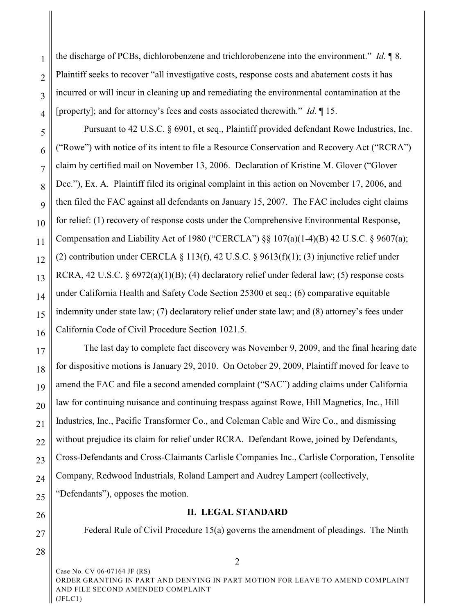2 3 4 the discharge of PCBs, dichlorobenzene and trichlorobenzene into the environment." *Id.* ¶ 8. Plaintiff seeks to recover "all investigative costs, response costs and abatement costs it has incurred or will incur in cleaning up and remediating the environmental contamination at the [property]; and for attorney's fees and costs associated therewith." *Id.* ¶ 15.

5 6 7 8 9 10 11 12 13 14 15 16 Pursuant to 42 U.S.C. § 6901, et seq., Plaintiff provided defendant Rowe Industries, Inc. ("Rowe") with notice of its intent to file a Resource Conservation and Recovery Act ("RCRA") claim by certified mail on November 13, 2006. Declaration of Kristine M. Glover ("Glover Dec."), Ex. A. Plaintiff filed its original complaint in this action on November 17, 2006, and then filed the FAC against all defendants on January 15, 2007. The FAC includes eight claims for relief: (1) recovery of response costs under the Comprehensive Environmental Response, Compensation and Liability Act of 1980 ("CERCLA") §§ 107(a)(1-4)(B) 42 U.S.C. § 9607(a); (2) contribution under CERCLA  $\S$  113(f), 42 U.S.C.  $\S$  9613(f)(1); (3) injunctive relief under RCRA, 42 U.S.C. § 6972(a)(1)(B); (4) declaratory relief under federal law; (5) response costs under California Health and Safety Code Section 25300 et seq.; (6) comparative equitable indemnity under state law; (7) declaratory relief under state law; and (8) attorney's fees under California Code of Civil Procedure Section 1021.5.

17 18 19 20 21 22 23 24 25 The last day to complete fact discovery was November 9, 2009, and the final hearing date for dispositive motions is January 29, 2010. On October 29, 2009, Plaintiff moved for leave to amend the FAC and file a second amended complaint ("SAC") adding claims under California law for continuing nuisance and continuing trespass against Rowe, Hill Magnetics, Inc., Hill Industries, Inc., Pacific Transformer Co., and Coleman Cable and Wire Co., and dismissing without prejudice its claim for relief under RCRA. Defendant Rowe, joined by Defendants, Cross-Defendants and Cross-Claimants Carlisle Companies Inc., Carlisle Corporation, Tensolite Company, Redwood Industrials, Roland Lampert and Audrey Lampert (collectively, "Defendants"), opposes the motion.

### **II. LEGAL STANDARD**

Federal Rule of Civil Procedure 15(a) governs the amendment of pleadings. The Ninth

28

26

27

1

Case No. CV 06-07164 JF (RS) ORDER GRANTING IN PART AND DENYING IN PART MOTION FOR LEAVE TO AMEND COMPLAINT AND FILE SECOND AMENDED COMPLAINT (JFLC1)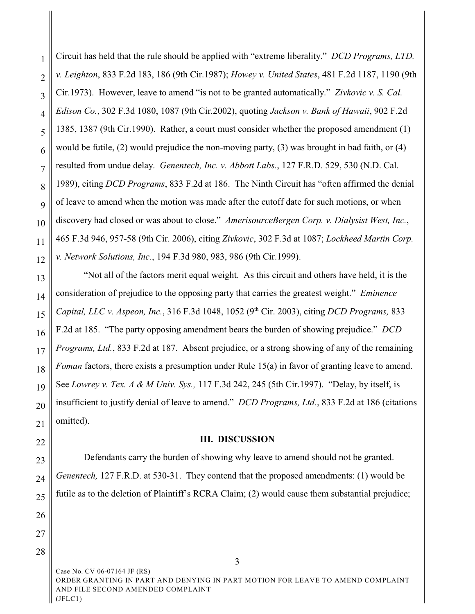1 2 3 4 5 6 7 8 9 10 11 12 Circuit has held that the rule should be applied with "extreme liberality." *DCD Programs, LTD. v. Leighton*, 833 F.2d 183, 186 (9th Cir.1987); *Howey v. United States*, 481 F.2d 1187, 1190 (9th Cir.1973). However, leave to amend "is not to be granted automatically." *Zivkovic v. S. Cal. Edison Co.*, 302 F.3d 1080, 1087 (9th Cir.2002), quoting *Jackson v. Bank of Hawaii*, 902 F.2d 1385, 1387 (9th Cir.1990). Rather, a court must consider whether the proposed amendment (1) would be futile, (2) would prejudice the non-moving party, (3) was brought in bad faith, or (4) resulted from undue delay. *Genentech, Inc. v. Abbott Labs.*, 127 F.R.D. 529, 530 (N.D. Cal. 1989), citing *DCD Programs*, 833 F.2d at 186. The Ninth Circuit has "often affirmed the denial of leave to amend when the motion was made after the cutoff date for such motions, or when discovery had closed or was about to close." *AmerisourceBergen Corp. v. Dialysist West, Inc.*, 465 F.3d 946, 957-58 (9th Cir. 2006), citing *Zivkovic*, 302 F.3d at 1087; *Lockheed Martin Corp. v. Network Solutions, Inc.*, 194 F.3d 980, 983, 986 (9th Cir.1999).

13 14 15 16 17 18 19 20 21 "Not all of the factors merit equal weight. As this circuit and others have held, it is the consideration of prejudice to the opposing party that carries the greatest weight." *Eminence Capital, LLC v. Aspeon, Inc., 316 F.3d 1048, 1052 (9<sup>th</sup> Cir. 2003), citing <i>DCD Programs, 833* F.2d at 185. "The party opposing amendment bears the burden of showing prejudice." *DCD Programs, Ltd.*, 833 F.2d at 187. Absent prejudice, or a strong showing of any of the remaining *Foman factors, there exists a presumption under Rule 15(a) in favor of granting leave to amend.* See *Lowrey v. Tex. A & M Univ. Sys.,* 117 F.3d 242, 245 (5th Cir.1997). "Delay, by itself, is insufficient to justify denial of leave to amend." *DCD Programs, Ltd.*, 833 F.2d at 186 (citations omitted).

22

### **III. DISCUSSION**

23 24 25 Defendants carry the burden of showing why leave to amend should not be granted. *Genentech,* 127 F.R.D. at 530-31. They contend that the proposed amendments: (1) would be futile as to the deletion of Plaintiff's RCRA Claim; (2) would cause them substantial prejudice;

27

28

26

Case No. CV 06-07164 JF (RS) ORDER GRANTING IN PART AND DENYING IN PART MOTION FOR LEAVE TO AMEND COMPLAINT AND FILE SECOND AMENDED COMPLAINT (JFLC1)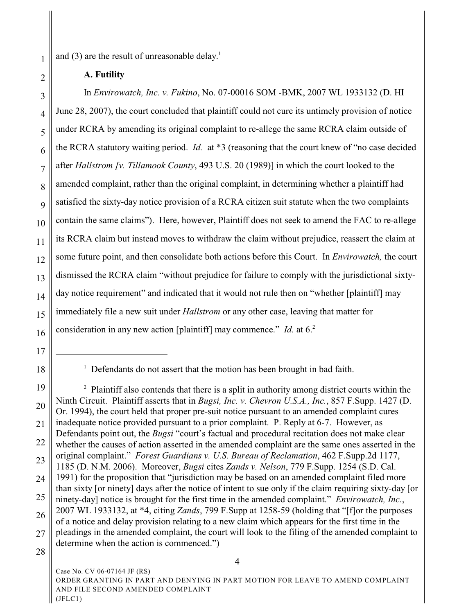and  $(3)$  are the result of unreasonable delay.<sup>1</sup>

**A. Futility**

3 4 5 6 7 8 9 10 11 12 13 14 15 16 In *Envirowatch, Inc. v. Fukino*, No. 07-00016 SOM -BMK, 2007 WL 1933132 (D. HI June 28, 2007), the court concluded that plaintiff could not cure its untimely provision of notice under RCRA by amending its original complaint to re-allege the same RCRA claim outside of the RCRA statutory waiting period. *Id.* at \*3 (reasoning that the court knew of "no case decided after *Hallstrom [v. Tillamook County*, 493 U.S. 20 (1989)] in which the court looked to the amended complaint, rather than the original complaint, in determining whether a plaintiff had satisfied the sixty-day notice provision of a RCRA citizen suit statute when the two complaints contain the same claims"). Here, however, Plaintiff does not seek to amend the FAC to re-allege its RCRA claim but instead moves to withdraw the claim without prejudice, reassert the claim at some future point, and then consolidate both actions before this Court. In *Envirowatch,* the court dismissed the RCRA claim "without prejudice for failure to comply with the jurisdictional sixtyday notice requirement" and indicated that it would not rule then on "whether [plaintiff] may immediately file a new suit under *Hallstrom* or any other case, leaving that matter for consideration in any new action [plaintiff] may commence."*Id.* at 6. 2

1

2

<sup>17</sup>

<sup>18</sup>

 $1$  Defendants do not assert that the motion has been brought in bad faith.

<sup>19</sup> 20 21 22 23 24 25 26 27  $<sup>2</sup>$  Plaintiff also contends that there is a split in authority among district courts within the</sup> Ninth Circuit. Plaintiff asserts that in *Bugsi, Inc. v. Chevron U.S.A., Inc.*, 857 F.Supp. 1427 (D. Or. 1994), the court held that proper pre-suit notice pursuant to an amended complaint cures inadequate notice provided pursuant to a prior complaint. P. Reply at 6-7. However, as Defendants point out, the *Bugsi* "court's factual and procedural recitation does not make clear whether the causes of action asserted in the amended complaint are the same ones asserted in the original complaint." *Forest Guardians v. U.S. Bureau of Reclamation*, 462 F.Supp.2d 1177, 1185 (D. N.M. 2006). Moreover, *Bugsi* cites *Zands v. Nelson*, 779 F.Supp. 1254 (S.D. Cal. 1991) for the proposition that "jurisdiction may be based on an amended complaint filed more than sixty [or ninety] days after the notice of intent to sue only if the claim requiring sixty-day [or ninety-day] notice is brought for the first time in the amended complaint." *Envirowatch, Inc.*, 2007 WL 1933132, at \*4, citing *Zands*, 799 F.Supp at 1258-59 (holding that "[f]or the purposes of a notice and delay provision relating to a new claim which appears for the first time in the pleadings in the amended complaint, the court will look to the filing of the amended complaint to determine when the action is commenced.")

<sup>28</sup>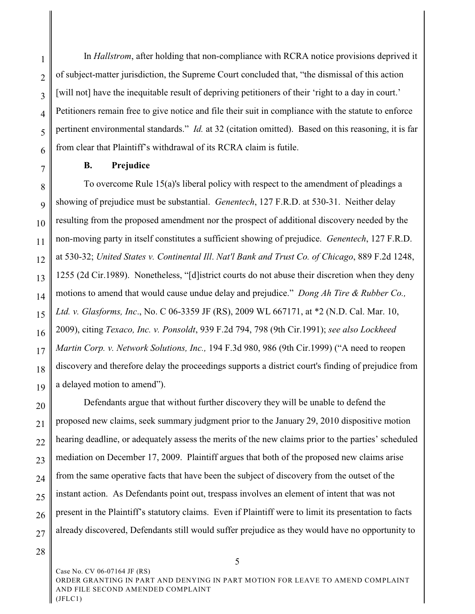1 2 3 4 5 6 In *Hallstrom*, after holding that non-compliance with RCRA notice provisions deprived it of subject-matter jurisdiction, the Supreme Court concluded that, "the dismissal of this action [will not] have the inequitable result of depriving petitioners of their 'right to a day in court.' Petitioners remain free to give notice and file their suit in compliance with the statute to enforce pertinent environmental standards." *Id.* at 32 (citation omitted). Based on this reasoning, it is far from clear that Plaintiff's withdrawal of its RCRA claim is futile.

### **B. Prejudice**

12 13 14 15 16 17 18 19 To overcome Rule 15(a)'s liberal policy with respect to the amendment of pleadings a showing of prejudice must be substantial. *Genentech*, 127 F.R.D. at 530-31. Neither delay resulting from the proposed amendment nor the prospect of additional discovery needed by the non-moving party in itself constitutes a sufficient showing of prejudice. *Genentech*, 127 F.R.D. at 530-32; *United States v. Continental Ill*. *Nat'l Bank and Trust Co. of Chicago*, 889 F.2d 1248, 1255 (2d Cir.1989). Nonetheless, "[d]istrict courts do not abuse their discretion when they deny motions to amend that would cause undue delay and prejudice." *Dong Ah Tire & Rubber Co., Ltd. v. Glasforms, Inc*., No. C 06-3359 JF (RS), 2009 WL 667171, at \*2 (N.D. Cal. Mar. 10, 2009), citing *Texaco, Inc. v. Ponsoldt*, 939 F.2d 794, 798 (9th Cir.1991); *see also Lockheed Martin Corp. v. Network Solutions, Inc.,* 194 F.3d 980, 986 (9th Cir.1999) ("A need to reopen discovery and therefore delay the proceedings supports a district court's finding of prejudice from a delayed motion to amend").

20 21 22 23 24 25 26 27 Defendants argue that without further discovery they will be unable to defend the proposed new claims, seek summary judgment prior to the January 29, 2010 dispositive motion hearing deadline, or adequately assess the merits of the new claims prior to the parties' scheduled mediation on December 17, 2009. Plaintiff argues that both of the proposed new claims arise from the same operative facts that have been the subject of discovery from the outset of the instant action. As Defendants point out, trespass involves an element of intent that was not present in the Plaintiff's statutory claims. Even if Plaintiff were to limit its presentation to facts already discovered, Defendants still would suffer prejudice as they would have no opportunity to

28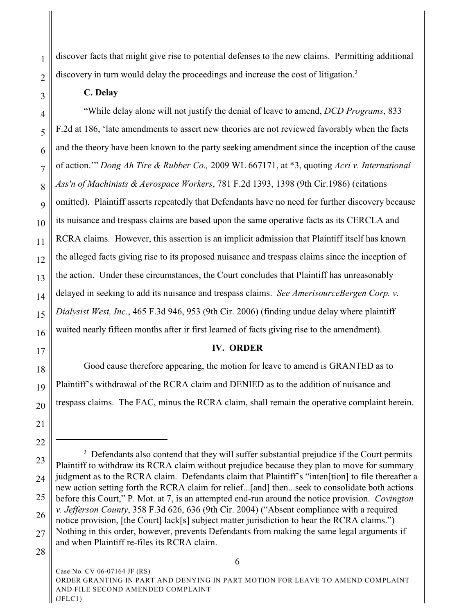discover facts that might give rise to potential defenses to the new claims. Permitting additional discovery in turn would delay the proceedings and increase the cost of litigation.<sup>3</sup>

# **C. Delay**

1

2

3

4 5 6 7 8 9 10 11 12 13 14 15 16 "While delay alone will not justify the denial of leave to amend, *DCD Programs*, 833 F.2d at 186, 'late amendments to assert new theories are not reviewed favorably when the facts and the theory have been known to the party seeking amendment since the inception of the cause of action.'" *Dong Ah Tire & Rubber Co.,* 2009 WL 667171, at \*3, quoting *Acri v. International Ass'n of Machinists & Aerospace Workers*, 781 F.2d 1393, 1398 (9th Cir.1986) (citations omitted). Plaintiff asserts repeatedly that Defendants have no need for further discovery because its nuisance and trespass claims are based upon the same operative facts as its CERCLA and RCRA claims. However, this assertion is an implicit admission that Plaintiff itself has known the alleged facts giving rise to its proposed nuisance and trespass claims since the inception of the action. Under these circumstances, the Court concludes that Plaintiff has unreasonably delayed in seeking to add its nuisance and trespass claims. *See AmerisourceBergen Corp. v. Dialysist West, Inc.*, 465 F.3d 946, 953 (9th Cir. 2006) (finding undue delay where plaintiff waited nearly fifteen months after ir first learned of facts giving rise to the amendment).

# **IV. ORDER**

18 Good cause therefore appearing, the motion for leave to amend is GRANTED as to Plaintiff's withdrawal of the RCRA claim and DENIED as to the addition of nuisance and trespass claims. The FAC, minus the RCRA claim, shall remain the operative complaint herein.

17

19

20

<sup>21</sup> 22

<sup>23</sup> 24 25 26 27 28 <sup>3</sup> Defendants also contend that they will suffer substantial prejudice if the Court permits Plaintiff to withdraw its RCRA claim without prejudice because they plan to move for summary judgment as to the RCRA claim. Defendants claim that Plaintiff's "inten[tion] to file thereafter a new action setting forth the RCRA claim for relief...[and] then...seek to consolidate both actions before this Court," P. Mot. at 7, is an attempted end-run around the notice provision. *Covington v. Jefferson County*, 358 F.3d 626, 636 (9th Cir. 2004) ("Absent compliance with a required notice provision, [the Court] lack[s] subject matter jurisdiction to hear the RCRA claims.") Nothing in this order, however, prevents Defendants from making the same legal arguments if and when Plaintiff re-files its RCRA claim.